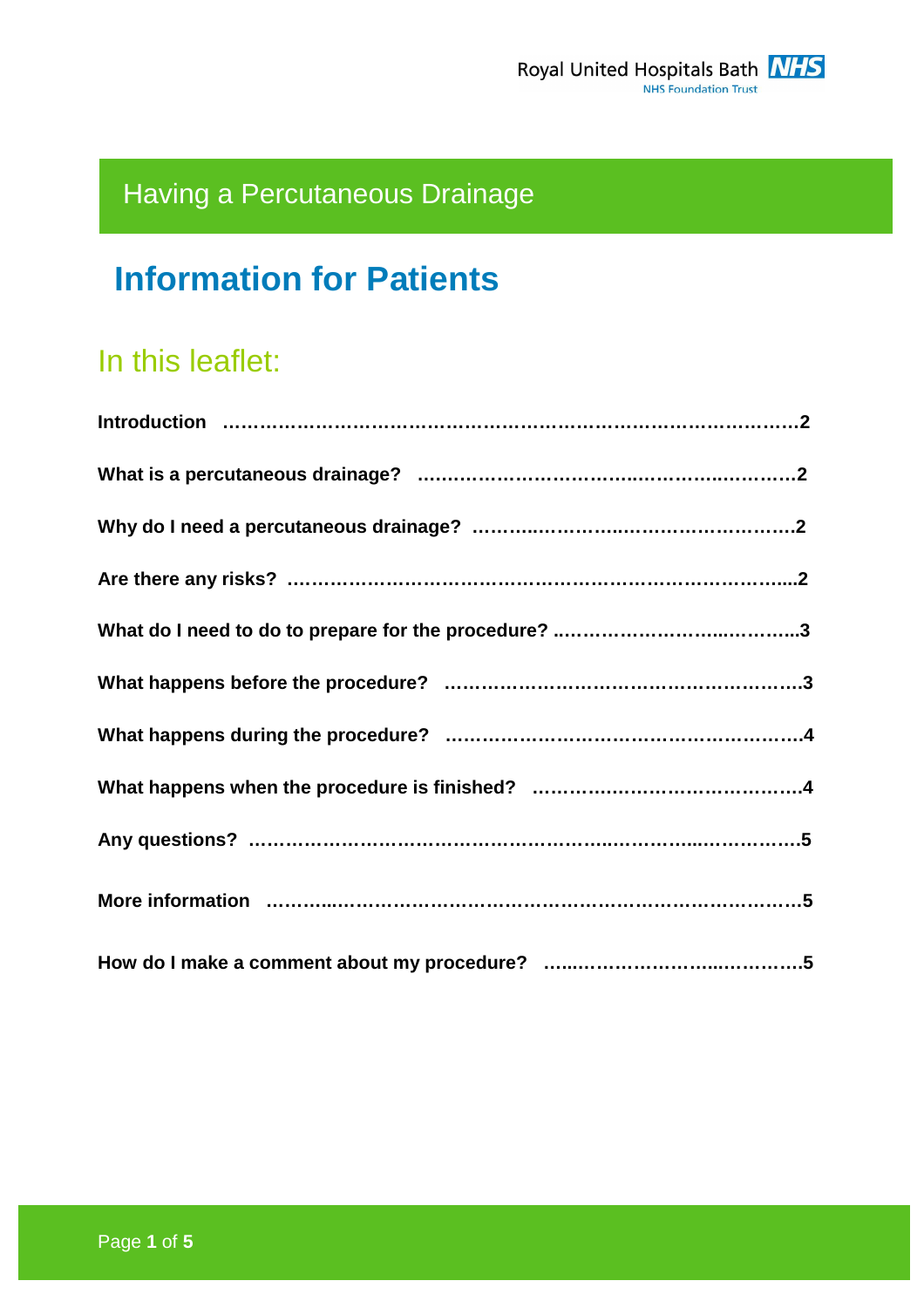# Having a Percutaneous Drainage

# **Information for Patients**

## In this leaflet: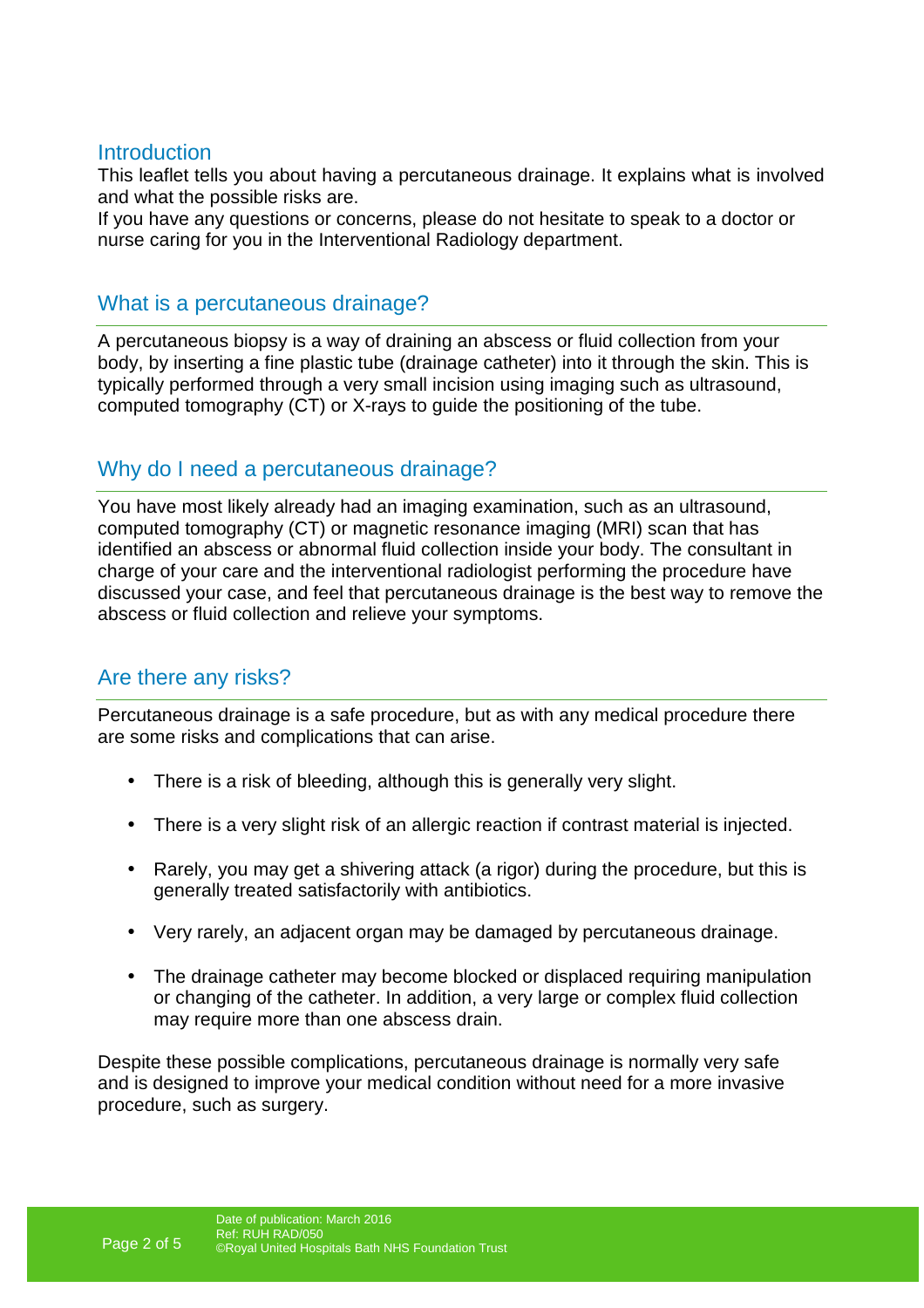#### **Introduction**

This leaflet tells you about having a percutaneous drainage. It explains what is involved and what the possible risks are.

If you have any questions or concerns, please do not hesitate to speak to a doctor or nurse caring for you in the Interventional Radiology department.

#### What is a percutaneous drainage?

A percutaneous biopsy is a way of draining an abscess or fluid collection from your body, by inserting a fine plastic tube (drainage catheter) into it through the skin. This is typically performed through a very small incision using imaging such as ultrasound, computed tomography (CT) or X-rays to guide the positioning of the tube.

## Why do I need a percutaneous drainage?

You have most likely already had an imaging examination, such as an ultrasound, computed tomography (CT) or magnetic resonance imaging (MRI) scan that has identified an abscess or abnormal fluid collection inside your body. The consultant in charge of your care and the interventional radiologist performing the procedure have discussed your case, and feel that percutaneous drainage is the best way to remove the abscess or fluid collection and relieve your symptoms.

#### Are there any risks?

Percutaneous drainage is a safe procedure, but as with any medical procedure there are some risks and complications that can arise.

- There is a risk of bleeding, although this is generally very slight.
- There is a very slight risk of an allergic reaction if contrast material is injected.
- Rarely, you may get a shivering attack (a rigor) during the procedure, but this is generally treated satisfactorily with antibiotics.
- Very rarely, an adjacent organ may be damaged by percutaneous drainage.
- The drainage catheter may become blocked or displaced requiring manipulation or changing of the catheter. In addition, a very large or complex fluid collection may require more than one abscess drain.

Despite these possible complications, percutaneous drainage is normally very safe and is designed to improve your medical condition without need for a more invasive procedure, such as surgery.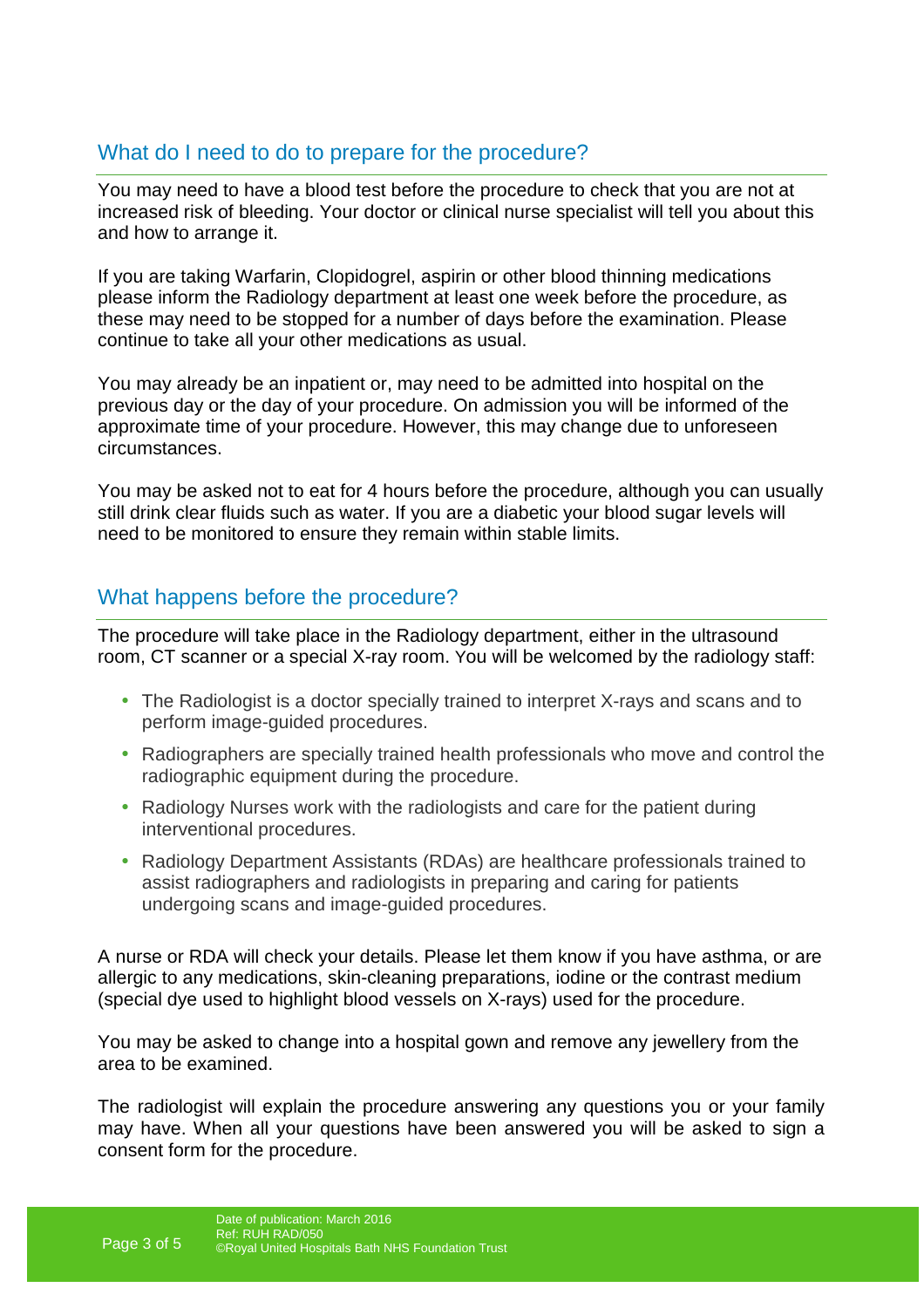## What do I need to do to prepare for the procedure?

You may need to have a blood test before the procedure to check that you are not at increased risk of bleeding. Your doctor or clinical nurse specialist will tell you about this and how to arrange it.

If you are taking Warfarin, Clopidogrel, aspirin or other blood thinning medications please inform the Radiology department at least one week before the procedure, as these may need to be stopped for a number of days before the examination. Please continue to take all your other medications as usual.

You may already be an inpatient or, may need to be admitted into hospital on the previous day or the day of your procedure. On admission you will be informed of the approximate time of your procedure. However, this may change due to unforeseen circumstances.

You may be asked not to eat for 4 hours before the procedure, although you can usually still drink clear fluids such as water. If you are a diabetic your blood sugar levels will need to be monitored to ensure they remain within stable limits.

#### What happens before the procedure?

The procedure will take place in the Radiology department, either in the ultrasound room, CT scanner or a special X-ray room. You will be welcomed by the radiology staff:

- The Radiologist is a doctor specially trained to interpret X-rays and scans and to perform image-guided procedures.
- Radiographers are specially trained health professionals who move and control the radiographic equipment during the procedure.
- Radiology Nurses work with the radiologists and care for the patient during interventional procedures.
- Radiology Department Assistants (RDAs) are healthcare professionals trained to assist radiographers and radiologists in preparing and caring for patients undergoing scans and image-guided procedures.

A nurse or RDA will check your details. Please let them know if you have asthma, or are allergic to any medications, skin-cleaning preparations, iodine or the contrast medium (special dye used to highlight blood vessels on X-rays) used for the procedure.

You may be asked to change into a hospital gown and remove any jewellery from the area to be examined.

The radiologist will explain the procedure answering any questions you or your family may have. When all your questions have been answered you will be asked to sign a consent form for the procedure.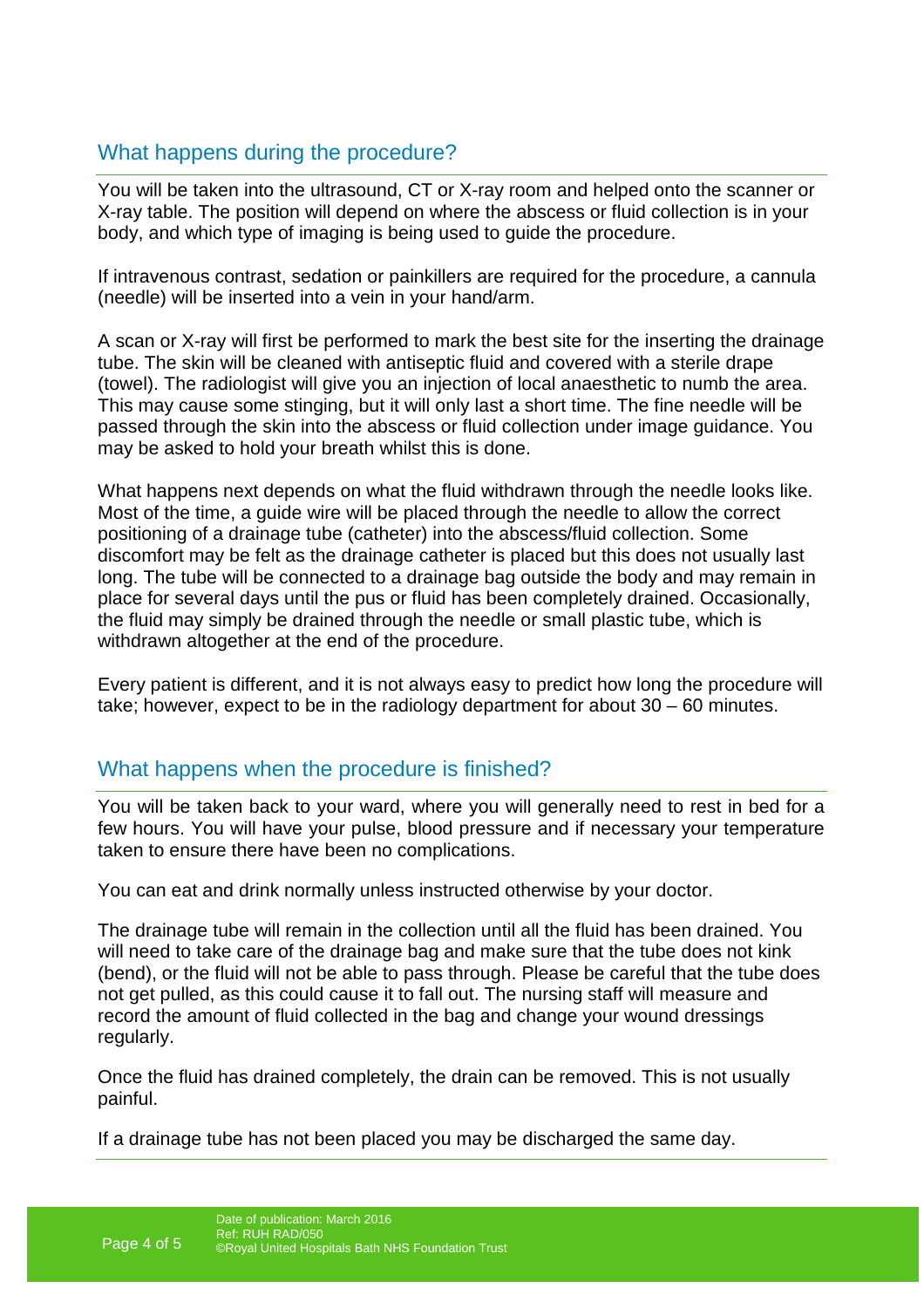## What happens during the procedure?

You will be taken into the ultrasound, CT or X-ray room and helped onto the scanner or X-ray table. The position will depend on where the abscess or fluid collection is in your body, and which type of imaging is being used to guide the procedure.

If intravenous contrast, sedation or painkillers are required for the procedure, a cannula (needle) will be inserted into a vein in your hand/arm.

A scan or X-ray will first be performed to mark the best site for the inserting the drainage tube. The skin will be cleaned with antiseptic fluid and covered with a sterile drape (towel). The radiologist will give you an injection of local anaesthetic to numb the area. This may cause some stinging, but it will only last a short time. The fine needle will be passed through the skin into the abscess or fluid collection under image guidance. You may be asked to hold your breath whilst this is done.

What happens next depends on what the fluid withdrawn through the needle looks like. Most of the time, a guide wire will be placed through the needle to allow the correct positioning of a drainage tube (catheter) into the abscess/fluid collection. Some discomfort may be felt as the drainage catheter is placed but this does not usually last long. The tube will be connected to a drainage bag outside the body and may remain in place for several days until the pus or fluid has been completely drained. Occasionally, the fluid may simply be drained through the needle or small plastic tube, which is withdrawn altogether at the end of the procedure.

Every patient is different, and it is not always easy to predict how long the procedure will take; however, expect to be in the radiology department for about 30 – 60 minutes.

#### What happens when the procedure is finished?

You will be taken back to your ward, where you will generally need to rest in bed for a few hours. You will have your pulse, blood pressure and if necessary your temperature taken to ensure there have been no complications.

You can eat and drink normally unless instructed otherwise by your doctor.

The drainage tube will remain in the collection until all the fluid has been drained. You will need to take care of the drainage bag and make sure that the tube does not kink (bend), or the fluid will not be able to pass through. Please be careful that the tube does not get pulled, as this could cause it to fall out. The nursing staff will measure and record the amount of fluid collected in the bag and change your wound dressings regularly.

Once the fluid has drained completely, the drain can be removed. This is not usually painful.

If a drainage tube has not been placed you may be discharged the same day.